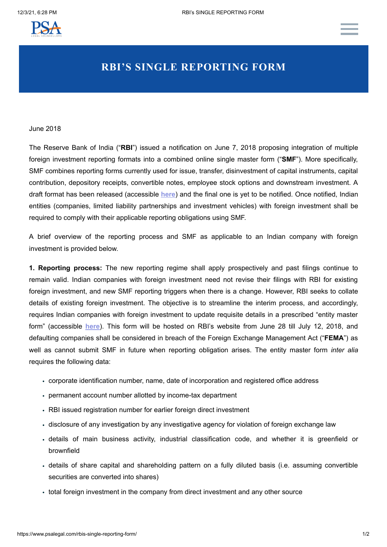

## **RBI'S SINGLE REPORTING FORM**

## June 2018

The Reserve Bank of India ("**RBI**") issued a notification on June 7, 2018 proposing integration of multiple foreign investment reporting formats into a combined online single master form ("**SMF**"). More specifically, SMF combines reporting forms currently used for issue, transfer, disinvestment of capital instruments, capital contribution, depository receipts, convertible notes, employee stock options and downstream investment. A draft format has been released (accessible **[here](https://www.rbi.org.in/scripts/NotificationUser.aspx?Id=11297&Mode=0)**) and the final one is yet to be notified. Once notified, Indian entities (companies, limited liability partnerships and investment vehicles) with foreign investment shall be required to comply with their applicable reporting obligations using SMF.

A brief overview of the reporting process and SMF as applicable to an Indian company with foreign investment is provided below.

**1. Reporting process:** The new reporting regime shall apply prospectively and past filings continue to remain valid. Indian companies with foreign investment need not revise their filings with RBI for existing foreign investment, and new SMF reporting triggers when there is a change. However, RBI seeks to collate details of existing foreign investment. The objective is to streamline the interim process, and accordingly, requires Indian companies with foreign investment to update requisite details in a prescribed "entity master form" (accessible **[here](https://www.rbi.org.in/scripts/NotificationUser.aspx?Id=11297&Mode=0)**). This form will be hosted on RBI's website from June 28 till July 12, 2018, and defaulting companies shall be considered in breach of the Foreign Exchange Management Act ("**FEMA**") as well as cannot submit SMF in future when reporting obligation arises. The entity master form *inter alia* requires the following data:

- corporate identification number, name, date of incorporation and registered office address
- permanent account number allotted by income-tax department
- RBI issued registration number for earlier foreign direct investment
- disclosure of any investigation by any investigative agency for violation of foreign exchange law
- details of main business activity, industrial classification code, and whether it is greenfield or brownfield
- details of share capital and shareholding pattern on a fully diluted basis (i.e. assuming convertible securities are converted into shares)
- total foreign investment in the company from direct investment and any other source